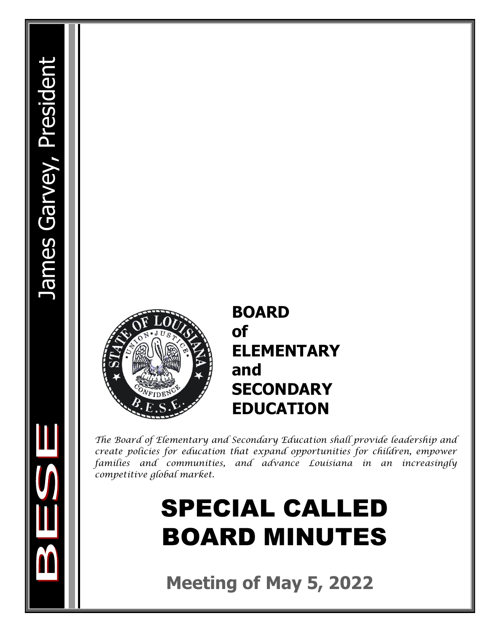

## **BOARD of ELEMENTARY and SECONDARY EDUCATION**

*The Board of Elementary and Secondary Education shall provide leadership and create policies for education that expand opportunities for children, empower families and communities, and advance Louisiana in an increasingly competitive global market.* 

# SPECIAL CALLED BOARD MINUTES

**Meeting of May 5, 2022**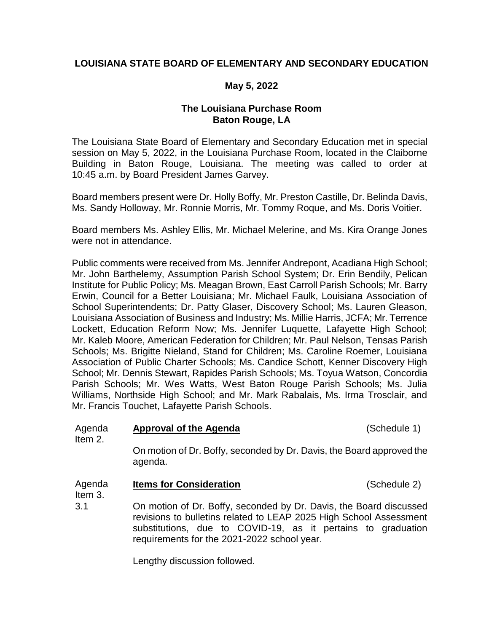#### **LOUISIANA STATE BOARD OF ELEMENTARY AND SECONDARY EDUCATION**

#### **May 5, 2022**

#### **The Louisiana Purchase Room Baton Rouge, LA**

The Louisiana State Board of Elementary and Secondary Education met in special session on May 5, 2022, in the Louisiana Purchase Room, located in the Claiborne Building in Baton Rouge, Louisiana. The meeting was called to order at 10:45 a.m. by Board President James Garvey.

Board members present were Dr. Holly Boffy, Mr. Preston Castille, Dr. Belinda Davis, Ms. Sandy Holloway, Mr. Ronnie Morris, Mr. Tommy Roque, and Ms. Doris Voitier.

Board members Ms. Ashley Ellis, Mr. Michael Melerine, and Ms. Kira Orange Jones were not in attendance.

Public comments were received from Ms. Jennifer Andrepont, Acadiana High School; Mr. John Barthelemy, Assumption Parish School System; Dr. Erin Bendily, Pelican Institute for Public Policy; Ms. Meagan Brown, East Carroll Parish Schools; Mr. Barry Erwin, Council for a Better Louisiana; Mr. Michael Faulk, Louisiana Association of School Superintendents; Dr. Patty Glaser, Discovery School; Ms. Lauren Gleason, Louisiana Association of Business and Industry; Ms. Millie Harris, JCFA; Mr. Terrence Lockett, Education Reform Now; Ms. Jennifer Luquette, Lafayette High School; Mr. Kaleb Moore, American Federation for Children; Mr. Paul Nelson, Tensas Parish Schools; Ms. Brigitte Nieland, Stand for Children; Ms. Caroline Roemer, Louisiana Association of Public Charter Schools; Ms. Candice Schott, Kenner Discovery High School; Mr. Dennis Stewart, Rapides Parish Schools; Ms. Toyua Watson, Concordia Parish Schools; Mr. Wes Watts, West Baton Rouge Parish Schools; Ms. Julia Williams, Northside High School; and Mr. Mark Rabalais, Ms. Irma Trosclair, and Mr. Francis Touchet, Lafayette Parish Schools.

| Agenda<br>Item 2. | <b>Approval of the Agenda</b>                                                    | (Schedule 1) |
|-------------------|----------------------------------------------------------------------------------|--------------|
|                   | On motion of Dr. Boffy, seconded by Dr. Davis, the Board approved the<br>agenda. |              |
| Agenda<br>Item 3. | <b>Items for Consideration</b>                                                   | (Schedule 2) |
| 3.1               | On motion of Dr. Boffy, seconded by Dr. Davis, the Board discussed               |              |

revisions to bulletins related to LEAP 2025 High School Assessment substitutions, due to COVID-19, as it pertains to graduation requirements for the 2021-2022 school year.

Lengthy discussion followed.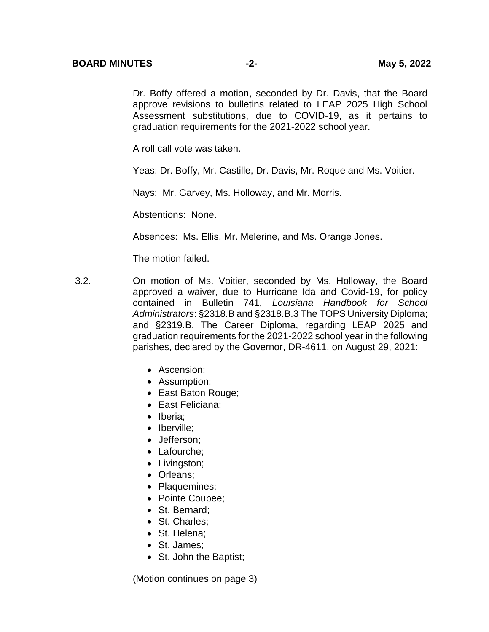Dr. Boffy offered a motion, seconded by Dr. Davis, that the Board approve revisions to bulletins related to LEAP 2025 High School Assessment substitutions, due to COVID-19, as it pertains to graduation requirements for the 2021-2022 school year.

A roll call vote was taken.

Yeas: Dr. Boffy, Mr. Castille, Dr. Davis, Mr. Roque and Ms. Voitier.

Nays: Mr. Garvey, Ms. Holloway, and Mr. Morris.

Abstentions: None.

Absences: Ms. Ellis, Mr. Melerine, and Ms. Orange Jones.

The motion failed.

- 3.2. On motion of Ms. Voitier, seconded by Ms. Holloway, the Board approved a waiver, due to Hurricane Ida and Covid-19, for policy contained in Bulletin 741, *Louisiana Handbook for School Administrators*: §2318.B and §2318.B.3 The TOPS University Diploma; and §2319.B. The Career Diploma, regarding LEAP 2025 and graduation requirements for the 2021-2022 school year in the following parishes, declared by the Governor, DR-4611, on August 29, 2021:
	- Ascension:
	- Assumption;
	- East Baton Rouge;
	- East Feliciana:
	- Iberia:
	- Iberville:
	- Jefferson:
	- Lafourche;
	- Livingston;
	- Orleans;
	- Plaquemines;
	- Pointe Coupee;
	- St. Bernard;
	- St. Charles:
	- St. Helena;
	- St. James:
	- St. John the Baptist;

(Motion continues on page 3)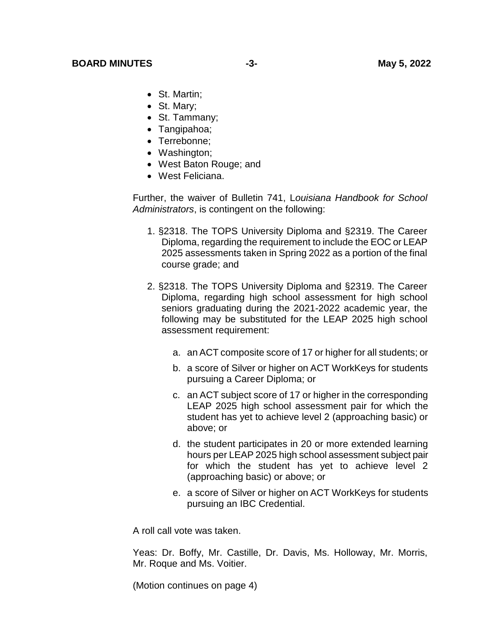- St. Martin:
- St. Mary;
- St. Tammany;
- Tangipahoa;
- Terrebonne:
- Washington;
- West Baton Rouge; and
- West Feliciana.

Further, the waiver of Bulletin 741, L*ouisiana Handbook for School Administrators*, is contingent on the following:

- 1. §2318. The TOPS University Diploma and §2319. The Career Diploma, regarding the requirement to include the EOC or LEAP 2025 assessments taken in Spring 2022 as a portion of the final course grade; and
- 2. §2318. The TOPS University Diploma and §2319. The Career Diploma, regarding high school assessment for high school seniors graduating during the 2021-2022 academic year, the following may be substituted for the LEAP 2025 high school assessment requirement:
	- a. an ACT composite score of 17 or higher for all students; or
	- b. a score of Silver or higher on ACT WorkKeys for students pursuing a Career Diploma; or
	- c. an ACT subject score of 17 or higher in the corresponding LEAP 2025 high school assessment pair for which the student has yet to achieve level 2 (approaching basic) or above; or
	- d. the student participates in 20 or more extended learning hours per LEAP 2025 high school assessment subject pair for which the student has yet to achieve level 2 (approaching basic) or above; or
	- e. a score of Silver or higher on ACT WorkKeys for students pursuing an IBC Credential.

A roll call vote was taken.

Yeas: Dr. Boffy, Mr. Castille, Dr. Davis, Ms. Holloway, Mr. Morris, Mr. Roque and Ms. Voitier.

(Motion continues on page 4)